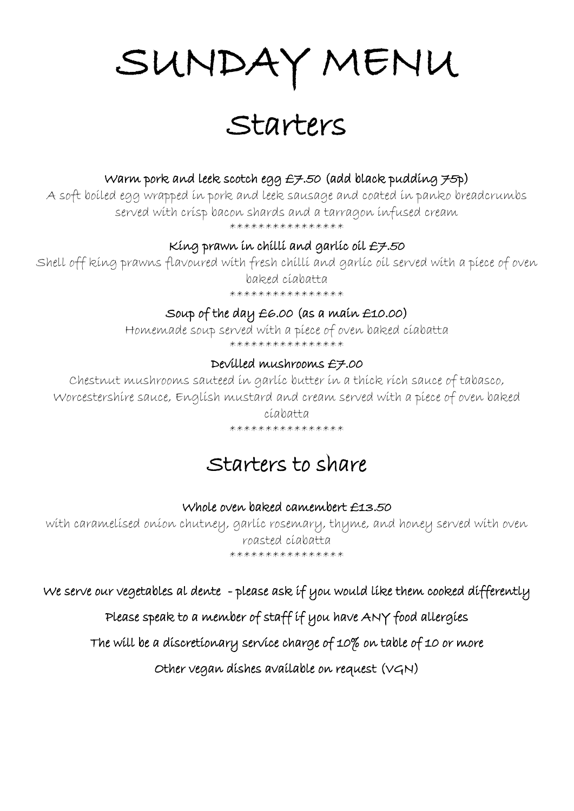# SUNDAY MENU

Starters

### Warm pork and leek scotch egg  $E7.50$  (add black pudding  $75p$ )

A soft boiled egg wrapped in pork and leek sausage and coated in panko breadcrumbs served with crisp bacon shards and a tarragon infused cream

\*\*\*\*\*\*\*\*\*\*\*\*\*\*\*\*

### King prawn in chilli and garlic oil £7.50

Shell off king prawns flavoured with fresh chilli and garlic oil served with a piece of oven baked ciabatta

\*\*\*\*\*\*\*\*\*\*\*\*\*\*\*\*

### Soup of the day £6.00 (as a main £10.00)

Homemade soup served with a piece of oven baked ciabatta \*\*\*\*\*\*\*\*\*\*\*\*\*\*\*\*

### Devilled mushrooms £7.00

Chestnut mushrooms sauteed in garlic butter in a thick rich sauce of tabasco, Worcestershire sauce, English mustard and cream served with a piece of oven baked

#### ciabatta \*\*\*\*\*\*\*\*\*\*\*\*\*\*\*\*

## Starters to share

### Whole oven baked camembert £13.50

with caramelised onion chutney, garlic rosemary, thyme, and honey served with oven roasted ciabatta \*\*\*\*\*\*\*\*\*\*\*\*\*\*\*\*

We serve our vegetables al dente - please ask if you would like them cooked differently

### Please speak to a member of staff if you have ANY food allergies

The will be a discretionary service charge of 10% on table of 10 or more

Other vegan dishes available on request (VGN)